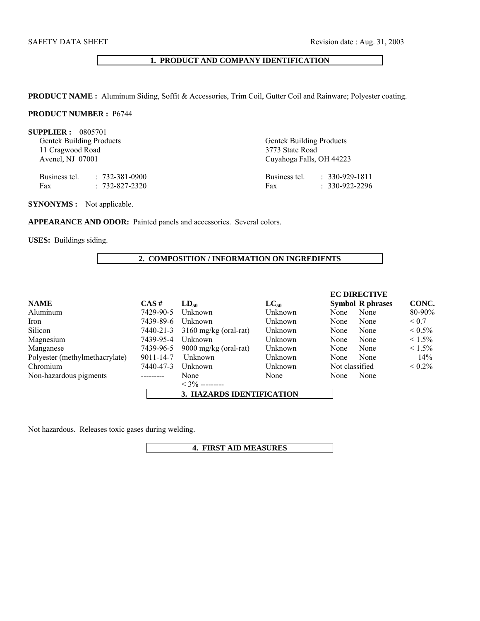# **1. PRODUCT AND COMPANY IDENTIFICATION**

**PRODUCT NAME :** Aluminum Siding, Soffit & Accessories, Trim Coil, Gutter Coil and Rainware; Polyester coating.

## **PRODUCT NUMBER :** P6744

| SUPPLIER: 0805701<br><b>Gentek Building Products</b><br>11 Cragwood Road<br>Avenel, NJ 07001 |                                                      | <b>Gentek Building Products</b><br>3773 State Road<br>Cuyahoga Falls, OH 44223 |                                                |  |
|----------------------------------------------------------------------------------------------|------------------------------------------------------|--------------------------------------------------------------------------------|------------------------------------------------|--|
| Fax                                                                                          | Business tel. : 732-381-0900<br>$: 732 - 827 - 2320$ | Fax                                                                            | Business tel. : 330-929-1811<br>$330-922-2296$ |  |

**SYNONYMS :** Not applicable.

APPEARANCE AND ODOR: Painted panels and accessories. Several colors.

**USES:** Buildings siding.

## **2. COMPOSITION / INFORMATION ON INGREDIENTS**

|                                |           |                                 |           |                | <b>EC DIRECTIVE</b>     |              |
|--------------------------------|-----------|---------------------------------|-----------|----------------|-------------------------|--------------|
| <b>NAME</b>                    | $CAS \#$  | $LD_{50}$                       | $LC_{50}$ |                | <b>Symbol R phrases</b> | CONC.        |
| Aluminum                       | 7429-90-5 | Unknown                         | Unknown   | None           | None                    | 80-90%       |
| Iron                           | 7439-89-6 | Unknown                         | Unknown   | None           | None                    | ${}_{0.7}$   |
| Silicon                        | 7440-21-3 | $3160$ mg/kg (oral-rat)         | Unknown   | None           | None                    | $\leq 0.5\%$ |
| Magnesium                      | 7439-95-4 | Unknown                         | Unknown   | None           | None                    | $\leq 1.5\%$ |
| Manganese                      | 7439-96-5 | $9000 \text{ mg/kg}$ (oral-rat) | Unknown   | None           | None                    | $\leq 1.5\%$ |
| Polyester (methylmethacrylate) | 9011-14-7 | Unknown                         | Unknown   | None           | None                    | 14%          |
| Chromium                       | 7440-47-3 | Unknown                         | Unknown   | Not classified |                         | $\leq 0.2\%$ |
| Non-hazardous pigments         | --------- | None                            | None      | None           | None                    |              |
|                                |           | $<$ 3% ---------                |           |                |                         |              |
|                                |           | 3. HAZARDS IDENTIFICATION       |           |                |                         |              |

Not hazardous. Releases toxic gases during welding.

**4. FIRST AID MEASURES**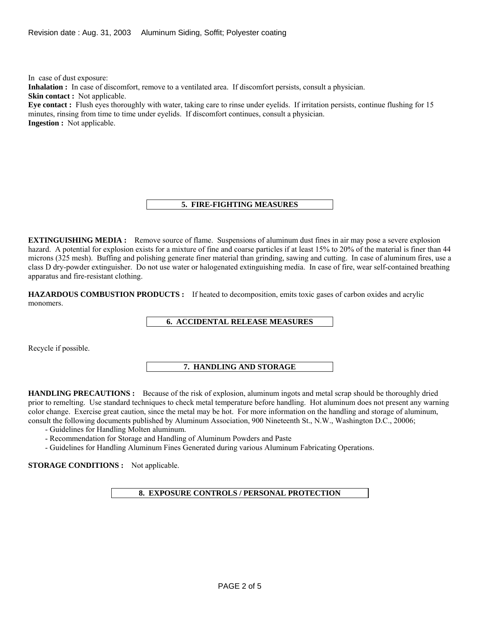In case of dust exposure:

**Inhalation :** In case of discomfort, remove to a ventilated area. If discomfort persists, consult a physician.

**Skin contact :** Not applicable.

**Eye contact :** Flush eyes thoroughly with water, taking care to rinse under eyelids. If irritation persists, continue flushing for 15 minutes, rinsing from time to time under eyelids. If discomfort continues, consult a physician. **Ingestion :** Not applicable.

## **5. FIRE-FIGHTING MEASURES**

**EXTINGUISHING MEDIA :** Remove source of flame. Suspensions of aluminum dust fines in air may pose a severe explosion hazard. A potential for explosion exists for a mixture of fine and coarse particles if at least 15% to 20% of the material is finer than 44 microns (325 mesh). Buffing and polishing generate finer material than grinding, sawing and cutting. In case of aluminum fires, use a class D dry-powder extinguisher. Do not use water or halogenated extinguishing media. In case of fire, wear self-contained breathing apparatus and fire-resistant clothing.

**HAZARDOUS COMBUSTION PRODUCTS :** If heated to decomposition, emits toxic gases of carbon oxides and acrylic monomers.

#### **6. ACCIDENTAL RELEASE MEASURES**

Recycle if possible.

#### **7. HANDLING AND STORAGE**

**HANDLING PRECAUTIONS :** Because of the risk of explosion, aluminum ingots and metal scrap should be thoroughly dried prior to remelting. Use standard techniques to check metal temperature before handling. Hot aluminum does not present any warning color change. Exercise great caution, since the metal may be hot. For more information on the handling and storage of aluminum, consult the following documents published by Aluminum Association, 900 Nineteenth St., N.W., Washington D.C., 20006;

- Guidelines for Handling Molten aluminum.
- Recommendation for Storage and Handling of Aluminum Powders and Paste
- Guidelines for Handling Aluminum Fines Generated during various Aluminum Fabricating Operations.

**STORAGE CONDITIONS :** Not applicable.

**8. EXPOSURE CONTROLS / PERSONAL PROTECTION**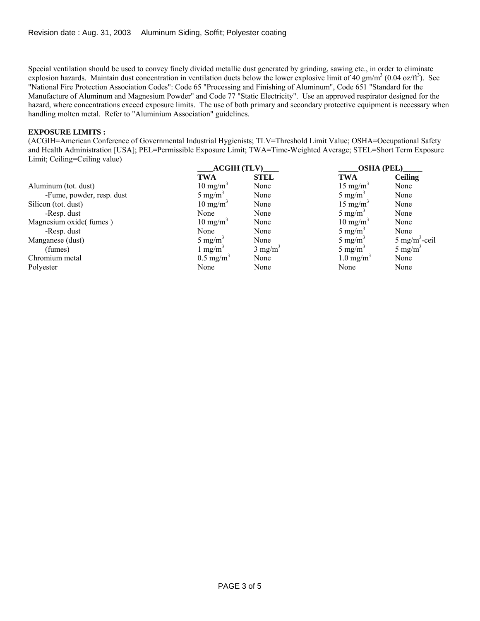Special ventilation should be used to convey finely divided metallic dust generated by grinding, sawing etc., in order to eliminate explosion hazards. Maintain dust concentration in ventilation ducts below the lower explosive limit of 40 gm/m<sup>3</sup> (0.04 oz/ft<sup>3</sup>). See "National Fire Protection Association Codes": Code 65 "Processing and Finishing of Aluminum", Code 651 "Standard for the Manufacture of Aluminum and Magnesium Powder" and Code 77 "Static Electricity". Use an approved respirator designed for the hazard, where concentrations exceed exposure limits. The use of both primary and secondary protective equipment is necessary when handling molten metal. Refer to "Aluminium Association" guidelines.

## **EXPOSURE LIMITS :**

(ACGIH=American Conference of Governmental Industrial Hygienists; TLV=Threshold Limit Value; OSHA=Occupational Safety and Health Administration [USA]; PEL=Permissible Exposure Limit; TWA=Time-Weighted Average; STEL=Short Term Exposure Limit; Ceiling=Ceiling value)

|                           | $\angle$ ACGIH (TLV)    |                    | OSHA (PEL)           |                           |
|---------------------------|-------------------------|--------------------|----------------------|---------------------------|
|                           | <b>TWA</b>              | <b>STEL</b>        | <b>TWA</b>           | <b>Ceiling</b>            |
| Aluminum (tot. dust)      | $10 \text{ mg/m}^3$     | None               | $15 \text{ mg/m}^3$  | None                      |
| -Fume, powder, resp. dust | 5 mg/m <sup>3</sup>     | None               | 5 mg/m <sup>3</sup>  | None                      |
| Silicon (tot. dust)       | $10 \text{ mg/m}^3$     | None               | $15 \text{ mg/m}^3$  | None                      |
| -Resp. dust               | None                    | None               | 5 mg/m <sup>3</sup>  | None                      |
| Magnesium oxide(fumes)    | $10 \text{ mg/m}^3$     | None               | $10 \text{ mg/m}^3$  | None                      |
| -Resp. dust               | None                    | None               | 5 mg/m <sup>3</sup>  | None                      |
| Manganese (dust)          | 5 mg/m <sup>3</sup>     | None               | 5 mg/m <sup>3</sup>  | 5 mg/m <sup>3</sup> -ceil |
| (fumes)                   | $1 \text{ mg/m}^3$      | $3 \text{ mg/m}^3$ | 5 mg/m <sup>3</sup>  | 5 mg/m <sup>3</sup>       |
| Chromium metal            | $0.5$ mg/m <sup>3</sup> | None               | $1.0 \text{ mg/m}^3$ | None                      |
| Polyester                 | None                    | None               | None                 | None                      |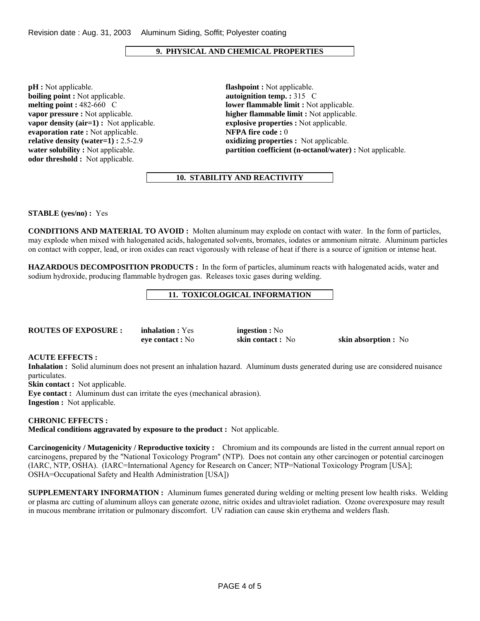# **9. PHYSICAL AND CHEMICAL PROPERTIES**

**pH :** Not applicable. **flashpoint :** Not applicable. **boiling point :** Not applicable. **autoignition temp. :** 315 C **vapor density (air=1) :** Not applicable. **explosive properties :** Not applicable. **evaporation rate :** Not applicable. **NFPA fire code :** 0 **relative density (water=1) :**  $2.5-2.9$  **oxidizing properties :** Not applicable. **odor threshold :** Not applicable.

**melting point : 482-660 C lower flammable limit :** Not applicable. **vapor pressure :** Not applicable. **higher flammable limit :** Not applicable. **water solubility :** Not applicable. **partition coefficient (n-octanol/water) :** Not applicable.

## **10. STABILITY AND REACTIVITY**

**STABLE (yes/no) :** Yes

**CONDITIONS AND MATERIAL TO AVOID :** Molten aluminum may explode on contact with water. In the form of particles, may explode when mixed with halogenated acids, halogenated solvents, bromates, iodates or ammonium nitrate. Aluminum particles on contact with copper, lead, or iron oxides can react vigorously with release of heat if there is a source of ignition or intense heat.

**HAZARDOUS DECOMPOSITION PRODUCTS :** In the form of particles, aluminum reacts with halogenated acids, water and sodium hydroxide, producing flammable hydrogen gas. Releases toxic gases during welding.

#### **11. TOXICOLOGICAL INFORMATION**

**Roughlands Routings EXPOSURE : No** 

**eye contact :** No **skin contact :** No **skin absorption :** No

#### **ACUTE EFFECTS :**

**Inhalation :** Solid aluminum does not present an inhalation hazard. Aluminum dusts generated during use are considered nuisance particulates.

**Skin contact :** Not applicable.

**Eye contact :** Aluminum dust can irritate the eyes (mechanical abrasion). **Ingestion :** Not applicable.

## **CHRONIC EFFECTS :**

**Medical conditions aggravated by exposure to the product :** Not applicable.

**Carcinogenicity / Mutagenicity / Reproductive toxicity :** Chromium and its compounds are listed in the current annual report on carcinogens, prepared by the "National Toxicology Program" (NTP). Does not contain any other carcinogen or potential carcinogen (IARC, NTP, OSHA). (IARC=International Agency for Research on Cancer; NTP=National Toxicology Program [USA]; OSHA=Occupational Safety and Health Administration [USA])

**SUPPLEMENTARY INFORMATION :** Aluminum fumes generated during welding or melting present low health risks. Welding or plasma arc cutting of aluminum alloys can generate ozone, nitric oxides and ultraviolet radiation. Ozone overexposure may result in mucous membrane irritation or pulmonary discomfort. UV radiation can cause skin erythema and welders flash.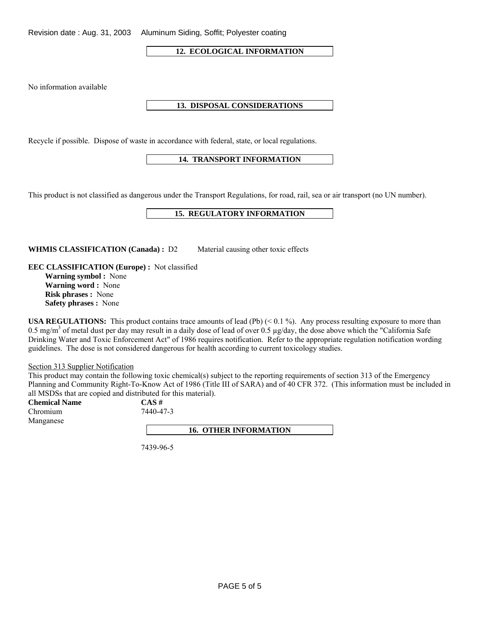Revision date : Aug. 31, 2003 Aluminum Siding, Soffit; Polyester coating

**12. ECOLOGICAL INFORMATION** 

No information available

## **13. DISPOSAL CONSIDERATIONS**

Recycle if possible. Dispose of waste in accordance with federal, state, or local regulations.

## **14. TRANSPORT INFORMATION**

This product is not classified as dangerous under the Transport Regulations, for road, rail, sea or air transport (no UN number).

#### **15. REGULATORY INFORMATION**

WHMIS CLASSIFICATION (Canada) : D2 Material causing other toxic effects

**EEC CLASSIFICATION (Europe) :** Not classified **Warning symbol :** None

**Warning word :** None **Risk phrases :** None **Safety phrases :** None

**USA REGULATIONS:** This product contains trace amounts of lead (Pb) (< 0.1 %). Any process resulting exposure to more than 0.5 mg/m<sup>3</sup> of metal dust per day may result in a daily dose of lead of over 0.5  $\mu$ g/day, the dose above which the "California Safe Drinking Water and Toxic Enforcement Act" of 1986 requires notification. Refer to the appropriate regulation notification wording guidelines. The dose is not considered dangerous for health according to current toxicology studies.

Section 313 Supplier Notification

This product may contain the following toxic chemical(s) subject to the reporting requirements of section 313 of the Emergency Planning and Community Right-To-Know Act of 1986 (Title III of SARA) and of 40 CFR 372. (This information must be included in all MSDSs that are copied and distributed for this material).

**Chemical Name CAS #** Chromium 7440-47-3 Manganese

**16. OTHER INFORMATION** 

7439-96-5